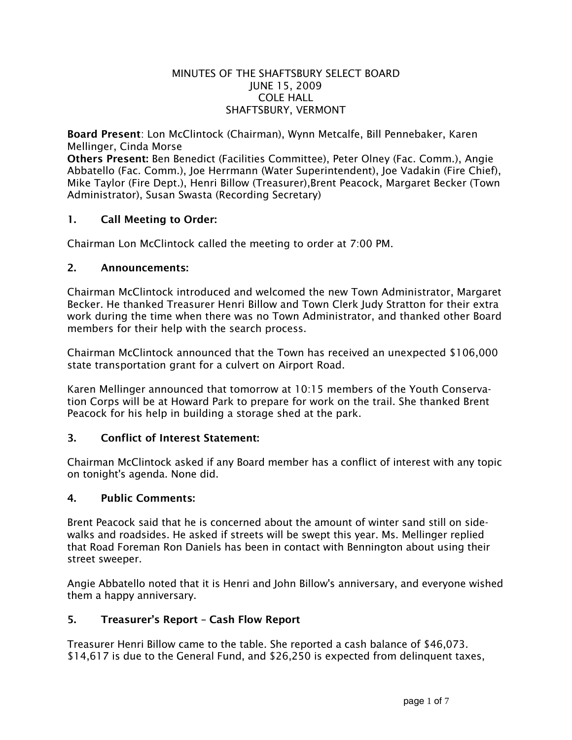### MINUTES OF THE SHAFTSBURY SELECT BOARD JUNE 15, 2009 COLE HALL SHAFTSBURY, VERMONT

Board Present: Lon McClintock (Chairman), Wynn Metcalfe, Bill Pennebaker, Karen Mellinger, Cinda Morse

Others Present: Ben Benedict (Facilities Committee), Peter Olney (Fac. Comm.), Angie Abbatello (Fac. Comm.), Joe Herrmann (Water Superintendent), Joe Vadakin (Fire Chief), Mike Taylor (Fire Dept.), Henri Billow (Treasurer),Brent Peacock, Margaret Becker (Town Administrator), Susan Swasta (Recording Secretary)

### 1. Call Meeting to Order:

Chairman Lon McClintock called the meeting to order at 7:00 PM.

### 2. Announcements:

Chairman McClintock introduced and welcomed the new Town Administrator, Margaret Becker. He thanked Treasurer Henri Billow and Town Clerk Judy Stratton for their extra work during the time when there was no Town Administrator, and thanked other Board members for their help with the search process.

Chairman McClintock announced that the Town has received an unexpected \$106,000 state transportation grant for a culvert on Airport Road.

Karen Mellinger announced that tomorrow at 10:15 members of the Youth Conservation Corps will be at Howard Park to prepare for work on the trail. She thanked Brent Peacock for his help in building a storage shed at the park.

### 3. Conflict of Interest Statement:

Chairman McClintock asked if any Board member has a conflict of interest with any topic on tonight's agenda. None did.

### 4. Public Comments:

Brent Peacock said that he is concerned about the amount of winter sand still on sidewalks and roadsides. He asked if streets will be swept this year. Ms. Mellinger replied that Road Foreman Ron Daniels has been in contact with Bennington about using their street sweeper.

Angie Abbatello noted that it is Henri and John Billow's anniversary, and everyone wished them a happy anniversary.

### 5. Treasurer's Report – Cash Flow Report

Treasurer Henri Billow came to the table. She reported a cash balance of \$46,073. \$14,617 is due to the General Fund, and \$26,250 is expected from delinquent taxes,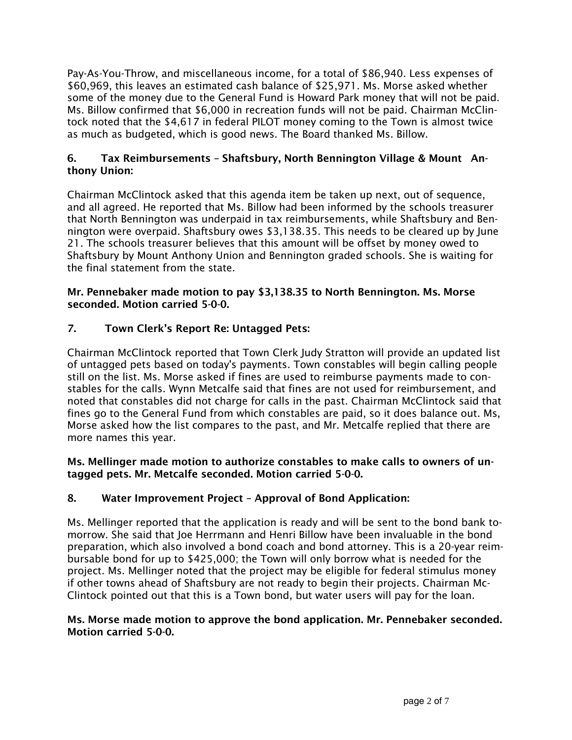Pay-As-You-Throw, and miscellaneous income, for a total of \$86,940. Less expenses of \$60,969, this leaves an estimated cash balance of \$25,971. Ms. Morse asked whether some of the money due to the General Fund is Howard Park money that will not be paid. Ms. Billow confirmed that \$6,000 in recreation funds will not be paid. Chairman McClintock noted that the \$4,617 in federal PILOT money coming to the Town is almost twice as much as budgeted, which is good news. The Board thanked Ms. Billow.

## 6. Tax Reimbursements – Shaftsbury, North Bennington Village & Mount Anthony Union:

Chairman McClintock asked that this agenda item be taken up next, out of sequence, and all agreed. He reported that Ms. Billow had been informed by the schools treasurer that North Bennington was underpaid in tax reimbursements, while Shaftsbury and Bennington were overpaid. Shaftsbury owes \$3,138.35. This needs to be cleared up by June 21. The schools treasurer believes that this amount will be offset by money owed to Shaftsbury by Mount Anthony Union and Bennington graded schools. She is waiting for the final statement from the state.

### Mr. Pennebaker made motion to pay \$3,138.35 to North Bennington. Ms. Morse seconded. Motion carried 5-0-0.

# 7. Town Clerk's Report Re: Untagged Pets:

Chairman McClintock reported that Town Clerk Judy Stratton will provide an updated list of untagged pets based on today's payments. Town constables will begin calling people still on the list. Ms. Morse asked if fines are used to reimburse payments made to constables for the calls. Wynn Metcalfe said that fines are not used for reimbursement, and noted that constables did not charge for calls in the past. Chairman McClintock said that fines go to the General Fund from which constables are paid, so it does balance out. Ms, Morse asked how the list compares to the past, and Mr. Metcalfe replied that there are more names this year.

### Ms. Mellinger made motion to authorize constables to make calls to owners of untagged pets. Mr. Metcalfe seconded. Motion carried 5-0-0.

## 8. Water Improvement Project – Approval of Bond Application:

Ms. Mellinger reported that the application is ready and will be sent to the bond bank tomorrow. She said that Joe Herrmann and Henri Billow have been invaluable in the bond preparation, which also involved a bond coach and bond attorney. This is a 20-year reimbursable bond for up to \$425,000; the Town will only borrow what is needed for the project. Ms. Mellinger noted that the project may be eligible for federal stimulus money if other towns ahead of Shaftsbury are not ready to begin their projects. Chairman Mc-Clintock pointed out that this is a Town bond, but water users will pay for the loan.

### Ms. Morse made motion to approve the bond application. Mr. Pennebaker seconded. Motion carried 5-0-0.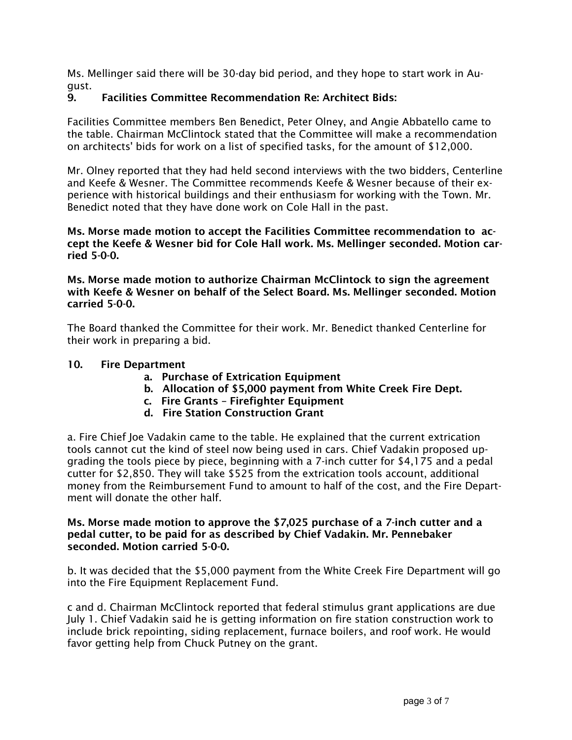Ms. Mellinger said there will be 30-day bid period, and they hope to start work in August.

# 9. Facilities Committee Recommendation Re: Architect Bids:

Facilities Committee members Ben Benedict, Peter Olney, and Angie Abbatello came to the table. Chairman McClintock stated that the Committee will make a recommendation on architects' bids for work on a list of specified tasks, for the amount of \$12,000.

Mr. Olney reported that they had held second interviews with the two bidders, Centerline and Keefe & Wesner. The Committee recommends Keefe & Wesner because of their experience with historical buildings and their enthusiasm for working with the Town. Mr. Benedict noted that they have done work on Cole Hall in the past.

Ms. Morse made motion to accept the Facilities Committee recommendation to accept the Keefe & Wesner bid for Cole Hall work. Ms. Mellinger seconded. Motion carried 5-0-0.

Ms. Morse made motion to authorize Chairman McClintock to sign the agreement with Keefe & Wesner on behalf of the Select Board. Ms. Mellinger seconded. Motion carried 5-0-0.

The Board thanked the Committee for their work. Mr. Benedict thanked Centerline for their work in preparing a bid.

### 10. Fire Department

- a. Purchase of Extrication Equipment
- b. Allocation of \$5,000 payment from White Creek Fire Dept.
- c. Fire Grants Firefighter Equipment
- d. Fire Station Construction Grant

a. Fire Chief Joe Vadakin came to the table. He explained that the current extrication tools cannot cut the kind of steel now being used in cars. Chief Vadakin proposed upgrading the tools piece by piece, beginning with a 7-inch cutter for \$4,175 and a pedal cutter for \$2,850. They will take \$525 from the extrication tools account, additional money from the Reimbursement Fund to amount to half of the cost, and the Fire Department will donate the other half.

#### Ms. Morse made motion to approve the \$7,025 purchase of a 7-inch cutter and a pedal cutter, to be paid for as described by Chief Vadakin. Mr. Pennebaker seconded. Motion carried 5-0-0.

b. It was decided that the \$5,000 payment from the White Creek Fire Department will go into the Fire Equipment Replacement Fund.

c and d. Chairman McClintock reported that federal stimulus grant applications are due July 1. Chief Vadakin said he is getting information on fire station construction work to include brick repointing, siding replacement, furnace boilers, and roof work. He would favor getting help from Chuck Putney on the grant.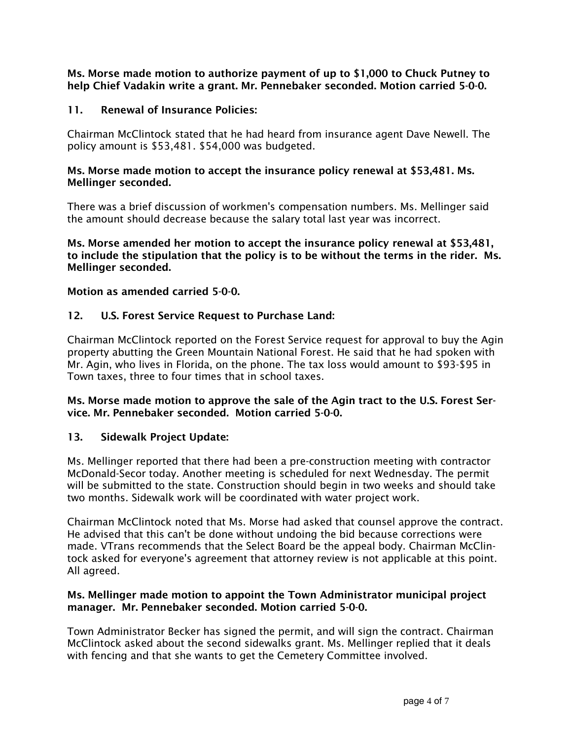Ms. Morse made motion to authorize payment of up to \$1,000 to Chuck Putney to help Chief Vadakin write a grant. Mr. Pennebaker seconded. Motion carried 5-0-0.

## 11. Renewal of Insurance Policies:

Chairman McClintock stated that he had heard from insurance agent Dave Newell. The policy amount is \$53,481. \$54,000 was budgeted.

### Ms. Morse made motion to accept the insurance policy renewal at \$53,481. Ms. Mellinger seconded.

There was a brief discussion of workmen's compensation numbers. Ms. Mellinger said the amount should decrease because the salary total last year was incorrect.

Ms. Morse amended her motion to accept the insurance policy renewal at \$53,481, to include the stipulation that the policy is to be without the terms in the rider. Ms. Mellinger seconded.

### Motion as amended carried 5-0-0.

### 12. U.S. Forest Service Request to Purchase Land:

Chairman McClintock reported on the Forest Service request for approval to buy the Agin property abutting the Green Mountain National Forest. He said that he had spoken with Mr. Agin, who lives in Florida, on the phone. The tax loss would amount to \$93-\$95 in Town taxes, three to four times that in school taxes.

### Ms. Morse made motion to approve the sale of the Agin tract to the U.S. Forest Service. Mr. Pennebaker seconded. Motion carried 5-0-0.

### 13. Sidewalk Project Update:

Ms. Mellinger reported that there had been a pre-construction meeting with contractor McDonald-Secor today. Another meeting is scheduled for next Wednesday. The permit will be submitted to the state. Construction should begin in two weeks and should take two months. Sidewalk work will be coordinated with water project work.

Chairman McClintock noted that Ms. Morse had asked that counsel approve the contract. He advised that this can't be done without undoing the bid because corrections were made. VTrans recommends that the Select Board be the appeal body. Chairman McClintock asked for everyone's agreement that attorney review is not applicable at this point. All agreed.

### Ms. Mellinger made motion to appoint the Town Administrator municipal project manager. Mr. Pennebaker seconded. Motion carried 5-0-0.

Town Administrator Becker has signed the permit, and will sign the contract. Chairman McClintock asked about the second sidewalks grant. Ms. Mellinger replied that it deals with fencing and that she wants to get the Cemetery Committee involved.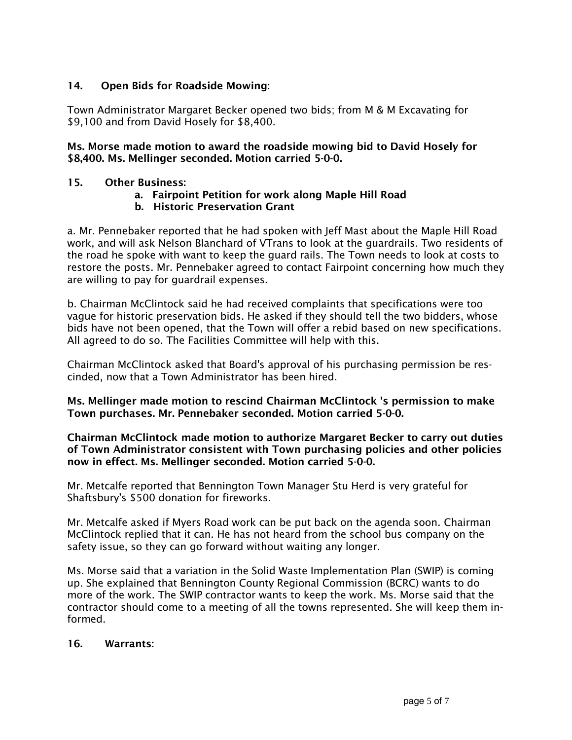## 14. Open Bids for Roadside Mowing:

Town Administrator Margaret Becker opened two bids; from M & M Excavating for \$9,100 and from David Hosely for \$8,400.

### Ms. Morse made motion to award the roadside mowing bid to David Hosely for \$8,400. Ms. Mellinger seconded. Motion carried 5-0-0.

### 15. Other Business:

### a. Fairpoint Petition for work along Maple Hill Road

### b. Historic Preservation Grant

a. Mr. Pennebaker reported that he had spoken with Jeff Mast about the Maple Hill Road work, and will ask Nelson Blanchard of VTrans to look at the guardrails. Two residents of the road he spoke with want to keep the guard rails. The Town needs to look at costs to restore the posts. Mr. Pennebaker agreed to contact Fairpoint concerning how much they are willing to pay for guardrail expenses.

b. Chairman McClintock said he had received complaints that specifications were too vague for historic preservation bids. He asked if they should tell the two bidders, whose bids have not been opened, that the Town will offer a rebid based on new specifications. All agreed to do so. The Facilities Committee will help with this.

Chairman McClintock asked that Board's approval of his purchasing permission be rescinded, now that a Town Administrator has been hired.

Ms. Mellinger made motion to rescind Chairman McClintock 's permission to make Town purchases. Mr. Pennebaker seconded. Motion carried 5-0-0.

### Chairman McClintock made motion to authorize Margaret Becker to carry out duties of Town Administrator consistent with Town purchasing policies and other policies now in effect. Ms. Mellinger seconded. Motion carried 5-0-0.

Mr. Metcalfe reported that Bennington Town Manager Stu Herd is very grateful for Shaftsbury's \$500 donation for fireworks.

Mr. Metcalfe asked if Myers Road work can be put back on the agenda soon. Chairman McClintock replied that it can. He has not heard from the school bus company on the safety issue, so they can go forward without waiting any longer.

Ms. Morse said that a variation in the Solid Waste Implementation Plan (SWIP) is coming up. She explained that Bennington County Regional Commission (BCRC) wants to do more of the work. The SWIP contractor wants to keep the work. Ms. Morse said that the contractor should come to a meeting of all the towns represented. She will keep them informed.

#### 16. Warrants: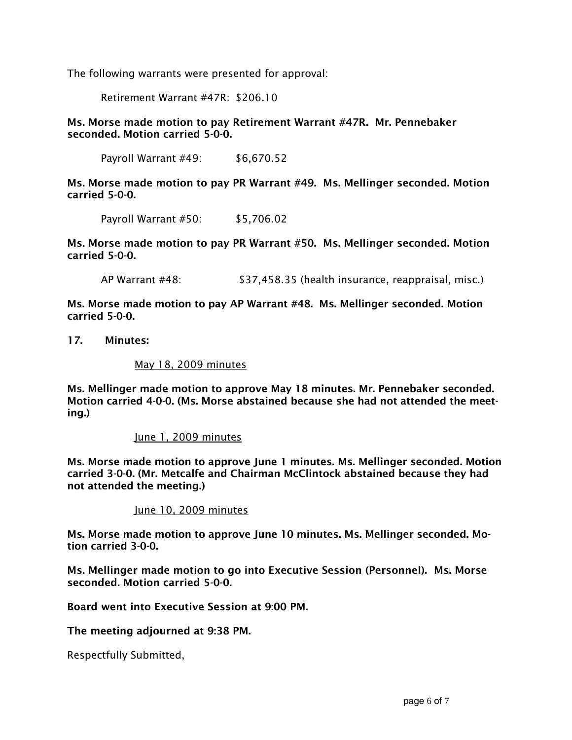The following warrants were presented for approval:

Retirement Warrant #47R: \$206.10

Ms. Morse made motion to pay Retirement Warrant #47R. Mr. Pennebaker seconded. Motion carried 5-0-0.

Payroll Warrant #49: \$6,670.52

Ms. Morse made motion to pay PR Warrant #49. Ms. Mellinger seconded. Motion carried 5-0-0.

Payroll Warrant #50: \$5,706.02

Ms. Morse made motion to pay PR Warrant #50. Ms. Mellinger seconded. Motion carried 5-0-0.

AP Warrant #48: \$37,458.35 (health insurance, reappraisal, misc.)

Ms. Morse made motion to pay AP Warrant #48. Ms. Mellinger seconded. Motion carried 5-0-0.

17. Minutes:

May 18, 2009 minutes

Ms. Mellinger made motion to approve May 18 minutes. Mr. Pennebaker seconded. Motion carried 4-0-0. (Ms. Morse abstained because she had not attended the meeting.)

#### June 1, 2009 minutes

Ms. Morse made motion to approve June 1 minutes. Ms. Mellinger seconded. Motion carried 3-0-0. (Mr. Metcalfe and Chairman McClintock abstained because they had not attended the meeting.)

June 10, 2009 minutes

Ms. Morse made motion to approve June 10 minutes. Ms. Mellinger seconded. Motion carried 3-0-0.

Ms. Mellinger made motion to go into Executive Session (Personnel). Ms. Morse seconded. Motion carried 5-0-0.

Board went into Executive Session at 9:00 PM.

The meeting adjourned at 9:38 PM.

Respectfully Submitted,